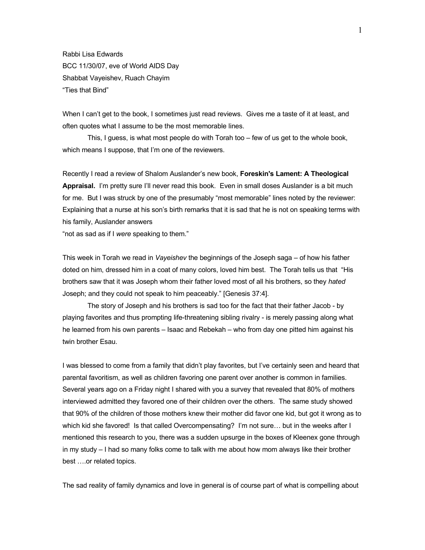Rabbi Lisa Edwards BCC 11/30/07, eve of World AIDS Day Shabbat Vayeishev, Ruach Chayim "Ties that Bind"

When I can't get to the book, I sometimes just read reviews. Gives me a taste of it at least, and often quotes what I assume to be the most memorable lines.

This, I guess, is what most people do with Torah too – few of us get to the whole book, which means I suppose, that I'm one of the reviewers.

Recently I read a review of Shalom Auslander's new book, **Foreskin's Lament: A Theological Appraisal.** I'm pretty sure I'll never read this book. Even in small doses Auslander is a bit much for me. But I was struck by one of the presumably "most memorable" lines noted by the reviewer: Explaining that a nurse at his son's birth remarks that it is sad that he is not on speaking terms with his family, Auslander answers

"not as sad as if I *were* speaking to them."

This week in Torah we read in *Vayeishev* the beginnings of the Joseph saga – of how his father doted on him, dressed him in a coat of many colors, loved him best. The Torah tells us that "His brothers saw that it was Joseph whom their father loved most of all his brothers, so they *hated* Joseph; and they could not speak to him peaceably." [Genesis 37:4].

The story of Joseph and his brothers is sad too for the fact that their father Jacob - by playing favorites and thus prompting life-threatening sibling rivalry - is merely passing along what he learned from his own parents – Isaac and Rebekah – who from day one pitted him against his twin brother Esau.

I was blessed to come from a family that didn't play favorites, but I've certainly seen and heard that parental favoritism, as well as children favoring one parent over another is common in families. Several years ago on a Friday night I shared with you a survey that revealed that 80% of mothers interviewed admitted they favored one of their children over the others. The same study showed that 90% of the children of those mothers knew their mother did favor one kid, but got it wrong as to which kid she favored! Is that called Overcompensating? I'm not sure… but in the weeks after I mentioned this research to you, there was a sudden upsurge in the boxes of Kleenex gone through in my study – I had so many folks come to talk with me about how mom always like their brother best ….or related topics.

The sad reality of family dynamics and love in general is of course part of what is compelling about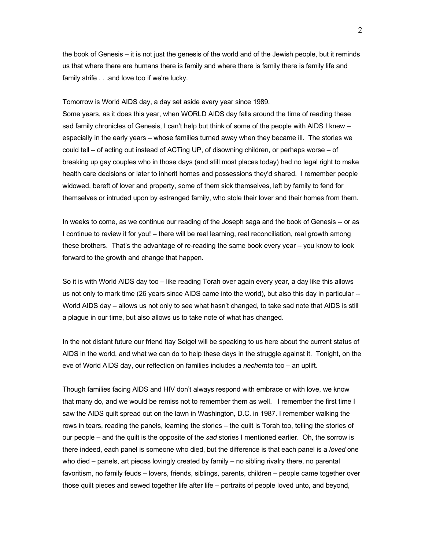the book of Genesis – it is not just the genesis of the world and of the Jewish people, but it reminds us that where there are humans there is family and where there is family there is family life and family strife . . .and love too if we're lucky.

Tomorrow is World AIDS day, a day set aside every year since 1989.

Some years, as it does this year, when WORLD AIDS day falls around the time of reading these sad family chronicles of Genesis, I can't help but think of some of the people with AIDS I knew – especially in the early years – whose families turned away when they became ill. The stories we could tell – of acting out instead of ACTing UP, of disowning children, or perhaps worse – of breaking up gay couples who in those days (and still most places today) had no legal right to make health care decisions or later to inherit homes and possessions they'd shared. I remember people widowed, bereft of lover and property, some of them sick themselves, left by family to fend for themselves or intruded upon by estranged family, who stole their lover and their homes from them.

In weeks to come, as we continue our reading of the Joseph saga and the book of Genesis -- or as I continue to review it for you! – there will be real learning, real reconciliation, real growth among these brothers. That's the advantage of re-reading the same book every year – you know to look forward to the growth and change that happen.

So it is with World AIDS day too – like reading Torah over again every year, a day like this allows us not only to mark time (26 years since AIDS came into the world), but also this day in particular -- World AIDS day – allows us not only to see what hasn't changed, to take sad note that AIDS is still a plague in our time, but also allows us to take note of what has changed.

In the not distant future our friend Itay Seigel will be speaking to us here about the current status of AIDS in the world, and what we can do to help these days in the struggle against it. Tonight, on the eve of World AIDS day, our reflection on families includes a *nechemta* too – an uplift.

Though families facing AIDS and HIV don't always respond with embrace or with love, we know that many do, and we would be remiss not to remember them as well. I remember the first time I saw the AIDS quilt spread out on the lawn in Washington, D.C. in 1987. I remember walking the rows in tears, reading the panels, learning the stories – the quilt is Torah too, telling the stories of our people – and the quilt is the opposite of the *sad* stories I mentioned earlier. Oh, the sorrow is there indeed, each panel is someone who died, but the difference is that each panel is a *loved* one who died – panels, art pieces lovingly created by family – no sibling rivalry there, no parental favoritism, no family feuds – lovers, friends, siblings, parents, children – people came together over those quilt pieces and sewed together life after life – portraits of people loved unto, and beyond,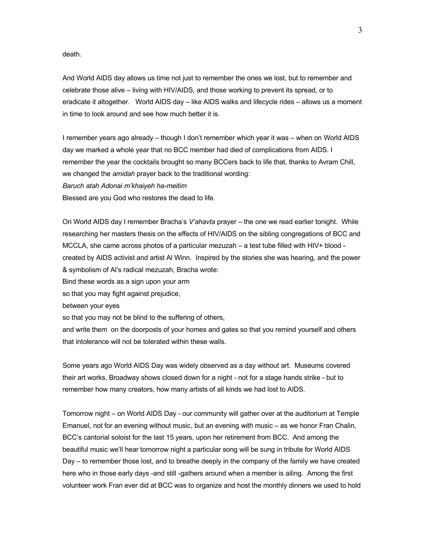death.

And World AIDS day allows us time not just to remember the ones we lost, but to remember and celebrate those alive – living with HIV/AIDS, and those working to prevent its spread, or to eradicate it altogether. World AIDS day – like AIDS walks and lifecycle rides – allows us a moment in time to look around and see how much better it is.

I remember years ago already – though I don't remember which year it was – when on World AIDS day we marked a whole year that no BCC member had died of complications from AIDS. I remember the year the cocktails brought so many BCCers back to life that, thanks to Avram Chill, we changed the *amidah* prayer back to the traditional wording: *Baruch atah Adonai m'khaiyeh ha-meitim*

Blessed are you God who restores the dead to life.

On World AIDS day I remember Bracha's *V'ahavta* prayer – the one we read earlier tonight. While researching her masters thesis on the effects of HIV/AIDS on the sibling congregations of BCC and MCCLA, she came across photos of a particular mezuzah – a test tube filled with HIV+ blood created by AIDS activist and artist Al Winn. Inspired by the stories she was hearing, and the power & symbolism of Al's radical mezuzah, Bracha wrote:

Bind these words as a sign upon your arm

so that you may fight against prejudice,

between your eyes

so that you may not be blind to the suffering of others,

and write them on the doorposts of your homes and gates so that you remind yourself and others that intolerance will not be tolerated within these walls.

Some years ago World AIDS Day was widely observed as a day without art. Museums covered their art works, Broadway shows closed down for a night - not for a stage hands strike - but to remember how many creators, how many artists of all kinds we had lost to AIDS.

Tomorrow night – on World AIDS Day - our community will gather over at the auditorium at Temple Emanuel, not for an evening without music, but an evening *with* music – as we honor Fran Chalin, BCC's cantorial soloist for the last 15 years, upon her retirement from BCC. And among the beautiful music we'll hear tomorrow night a particular song will be sung in tribute for World AIDS Day – to remember those lost, and to breathe deeply in the company of the family we have created here who in those early days -and still -gathers around when a member is ailing. Among the first volunteer work Fran ever did at BCC was to organize and host the monthly dinners we used to hold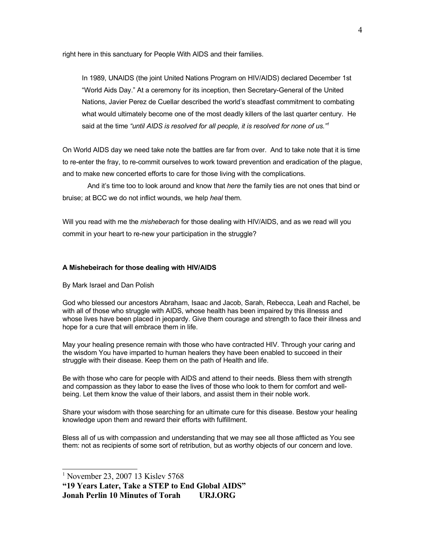right here in this sanctuary for People With AIDS and their families.

In 1989, UNAIDS (the joint United Nations Program on HIV/AIDS) declared December 1st "World Aids Day." At a ceremony for its inception, then Secretary-General of the United Nations, Javier Perez de Cuellar described the world's steadfast commitment to combating what would ultimately become one of the most deadly killers of the last quarter century. He said at the time *"until AIDS is resolved for all people, it is resolved for none of us."[1](#page-3-0)*

On World AIDS day we need take note the battles are far from over. And to take note that it is time to re-enter the fray, to re-commit ourselves to work toward prevention and eradication of the plague, and to make new concerted efforts to care for those living with the complications.

And it's time too to look around and know that *here* the family ties are not ones that bind or bruise; at BCC we do not inflict wounds, we help *heal* them.

Will you read with me the *misheberach* for those dealing with HIV/AIDS, and as we read will you commit in your heart to re-new your participation in the struggle?

## **A Mishebeirach for those dealing with HIV/AIDS**

By Mark Israel and Dan Polish

God who blessed our ancestors Abraham, Isaac and Jacob, Sarah, Rebecca, Leah and Rachel, be with all of those who struggle with AIDS, whose health has been impaired by this illnesss and whose lives have been placed in jeopardy. Give them courage and strength to face their illness and hope for a cure that will embrace them in life.

May your healing presence remain with those who have contracted HIV. Through your caring and the wisdom You have imparted to human healers they have been enabled to succeed in their struggle with their disease. Keep them on the path of Health and life.

Be with those who care for people with AIDS and attend to their needs. Bless them with strength and compassion as they labor to ease the lives of those who look to them for comfort and wellbeing. Let them know the value of their labors, and assist them in their noble work.

Share your wisdom with those searching for an ultimate cure for this disease. Bestow your healing knowledge upon them and reward their efforts with fulfillment.

Bless all of us with compassion and understanding that we may see all those afflicted as You see them: not as recipients of some sort of retribution, but as worthy objects of our concern and love.

**"19 Years Later, Take a STEP to End Global AIDS" Jonah Perlin 10 Minutes of Torah URJ.ORG**

<span id="page-3-0"></span><sup>1</sup> November 23, 2007 13 Kislev 5768